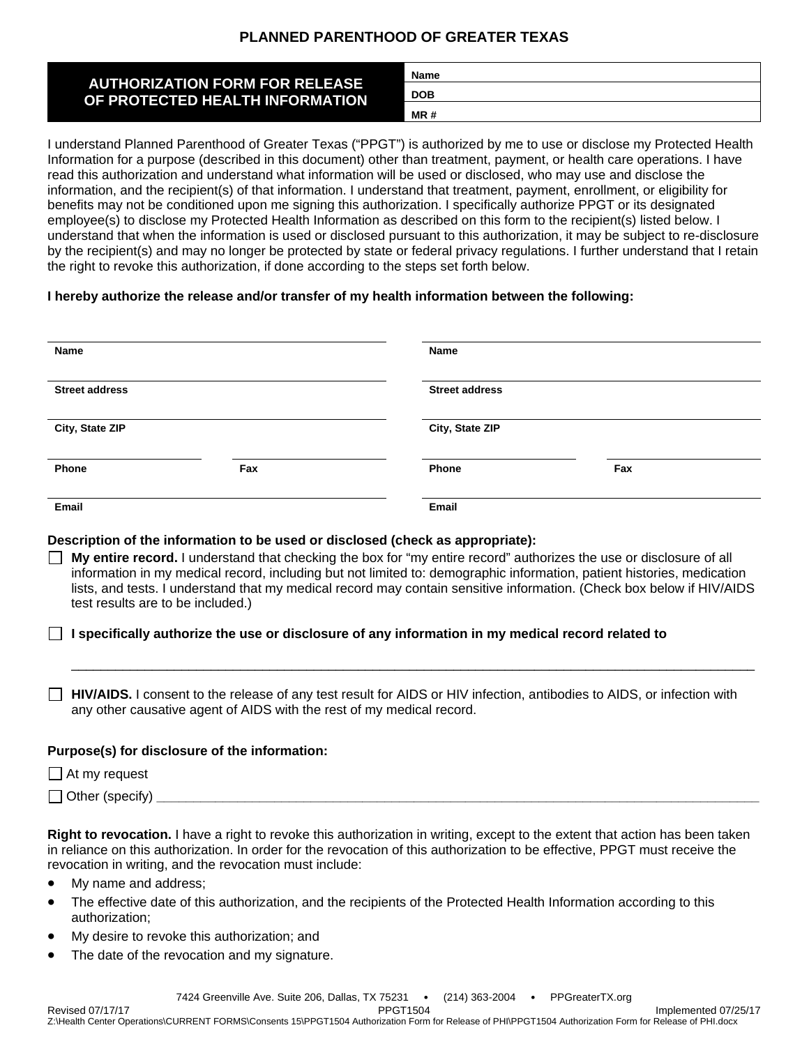# **PLANNED PARENTHOOD OF GREATER TEXAS**

| <b>AUTHORIZATION FORM FOR RELEASE</b><br>OF PROTECTED HEALTH INFORMATION | <b>Name</b> |
|--------------------------------------------------------------------------|-------------|
|                                                                          | <b>DOB</b>  |
|                                                                          | MR#         |

I understand Planned Parenthood of Greater Texas ("PPGT") is authorized by me to use or disclose my Protected Health Information for a purpose (described in this document) other than treatment, payment, or health care operations. I have read this authorization and understand what information will be used or disclosed, who may use and disclose the information, and the recipient(s) of that information. I understand that treatment, payment, enrollment, or eligibility for benefits may not be conditioned upon me signing this authorization. I specifically authorize PPGT or its designated employee(s) to disclose my Protected Health Information as described on this form to the recipient(s) listed below. I understand that when the information is used or disclosed pursuant to this authorization, it may be subject to re-disclosure by the recipient(s) and may no longer be protected by state or federal privacy regulations. I further understand that I retain the right to revoke this authorization, if done according to the steps set forth below.

### **I hereby authorize the release and/or transfer of my health information between the following:**

| Name                  |     | Name                  |     |  |  |
|-----------------------|-----|-----------------------|-----|--|--|
| <b>Street address</b> |     | <b>Street address</b> |     |  |  |
| City, State ZIP       |     | City, State ZIP       |     |  |  |
| Phone                 | Fax | Phone                 | Fax |  |  |
| Email                 |     | Email                 |     |  |  |

### **Description of the information to be used or disclosed (check as appropriate):**

| $\Box$ My entire record. I understand that checking the box for "my entire record" authorizes the use or disclosure of all |
|----------------------------------------------------------------------------------------------------------------------------|
| information in my medical record, including but not limited to: demographic information, patient histories, medication     |
| lists, and tests. I understand that my medical record may contain sensitive information. (Check box below if HIV/AIDS      |
| test results are to be included.)                                                                                          |

### **I specifically authorize the use or disclosure of any information in my medical record related to**

**HIV/AIDS.** I consent to the release of any test result for AIDS or HIV infection, antibodies to AIDS, or infection with any other causative agent of AIDS with the rest of my medical record.

 $\Box$ 

### **Purpose(s) for disclosure of the information:**

| At my<br>reguesi     |  |  |  |
|----------------------|--|--|--|
| Other<br>™ ′sneciiv⊥ |  |  |  |

**Right to revocation.** I have a right to revoke this authorization in writing, except to the extent that action has been taken in reliance on this authorization. In order for the revocation of this authorization to be effective, PPGT must receive the revocation in writing, and the revocation must include:

- My name and address;
- The effective date of this authorization, and the recipients of the Protected Health Information according to this authorization;
- My desire to revoke this authorization; and
- The date of the revocation and my signature.